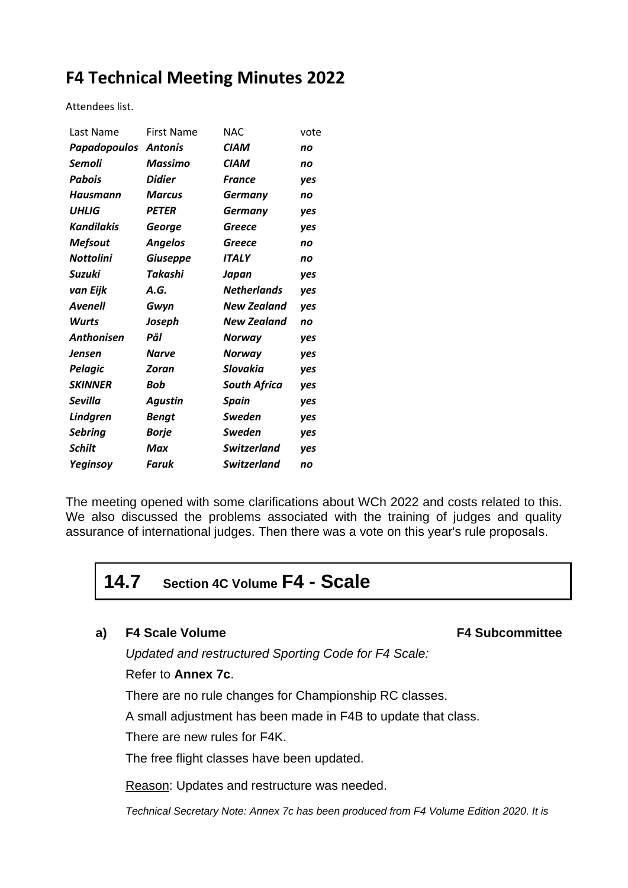# **F4 Technical Meeting Minutes 2022**

Attendees list.

| Last Name         | <b>First Name</b> | NAC.                | vote |
|-------------------|-------------------|---------------------|------|
| Papadopoulos      | <b>Antonis</b>    | CIAM                | no   |
| Semoli            | Massimo           | CIAM                | no   |
| Pabois            | Didier            | <b>France</b>       | ves  |
| Hausmann          | Marcus            | <b>Germany</b>      | no   |
| UHLIG             | <b>PETER</b>      | Germany             | ves  |
| <b>Kandilakis</b> | George            | Greece              | yes  |
| <b>Mefsout</b>    | <b>Angelos</b>    | Greece              | no   |
| Nottolini         | <b>Giuseppe</b>   | <b>ITALY</b>        | no   |
| Suzuki            | Takashi           | Japan               | yes  |
| van Eijk          | A.G.              | <b>Netherlands</b>  | yes  |
| Avenell           | Gwyn              | New Zealand         | yes  |
| <b>Wurts</b>      | Joseph            | New Zealand         | no   |
| <b>Anthonisen</b> | Pål               | Norway              | yes  |
| Jensen            | Narve             | Norway              | yes  |
| Pelagic           | Zoran             | Slovakia            | yes  |
| <b>SKINNER</b>    | Bob               | <b>South Africa</b> | yes  |
| Sevilla           | Agustin           | <b>Spain</b>        | yes  |
| <b>Lindgren</b>   | Bengt             | Sweden              | yes  |
| <b>Sebring</b>    | Borje             | Sweden              | yes  |
| Schilt            | Max               | <b>Switzerland</b>  | yes  |
| Yeginsoy          | Faruk             | <b>Switzerland</b>  | no   |

The meeting opened with some clarifications about WCh 2022 and costs related to this. We also discussed the problems associated with the training of judges and quality assurance of international judges. Then there was a vote on this year's rule proposals.

## **14.7 Section 4C Volume F4 - Scale**

### **a) F4 Scale Volume F4 Subcommittee**

*Updated and restructured Sporting Code for F4 Scale:*

### Refer to **Annex 7c**.

There are no rule changes for Championship RC classes.

A small adjustment has been made in F4B to update that class.

There are new rules for F4K.

The free flight classes have been updated.

Reason: Updates and restructure was needed.

*Technical Secretary Note: Annex 7c has been produced from F4 Volume Edition 2020. It is*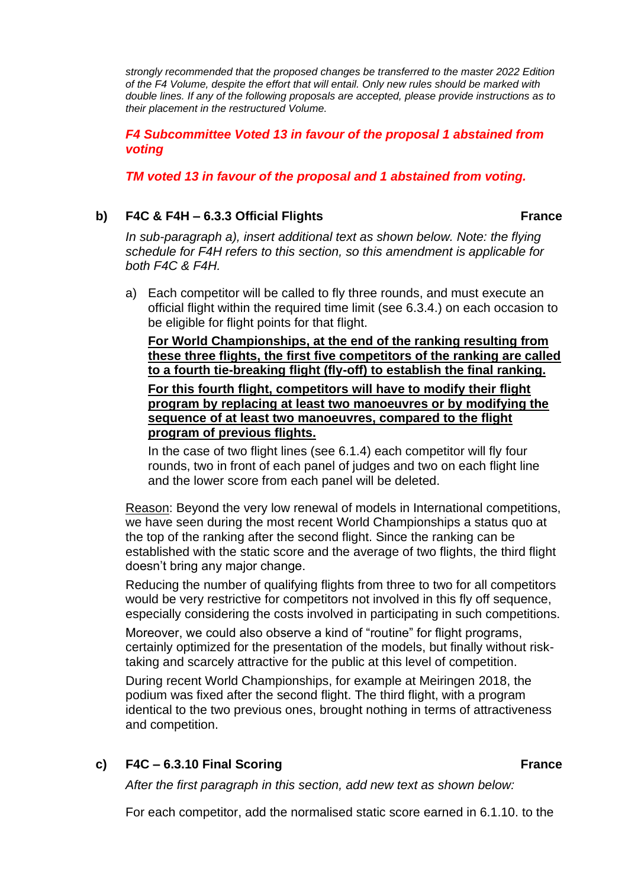*strongly recommended that the proposed changes be transferred to the master 2022 Edition of the F4 Volume, despite the effort that will entail. Only new rules should be marked with double lines. If any of the following proposals are accepted, please provide instructions as to their placement in the restructured Volume.*

*F4 Subcommittee Voted 13 in favour of the proposal 1 abstained from voting*

*TM voted 13 in favour of the proposal and 1 abstained from voting.*

### **b)** F4C & F4H – 6.3.3 Official Flights France

*In sub-paragraph a), insert additional text as shown below. Note: the flying schedule for F4H refers to this section, so this amendment is applicable for both F4C & F4H.*

a) Each competitor will be called to fly three rounds, and must execute an official flight within the required time limit (see 6.3.4.) on each occasion to be eligible for flight points for that flight.

**For World Championships, at the end of the ranking resulting from these three flights, the first five competitors of the ranking are called to a fourth tie-breaking flight (fly-off) to establish the final ranking.**

**For this fourth flight, competitors will have to modify their flight program by replacing at least two manoeuvres or by modifying the sequence of at least two manoeuvres, compared to the flight program of previous flights.**

In the case of two flight lines (see 6.1.4) each competitor will fly four rounds, two in front of each panel of judges and two on each flight line and the lower score from each panel will be deleted.

Reason: Beyond the very low renewal of models in International competitions, we have seen during the most recent World Championships a status quo at the top of the ranking after the second flight. Since the ranking can be established with the static score and the average of two flights, the third flight doesn't bring any major change.

Reducing the number of qualifying flights from three to two for all competitors would be very restrictive for competitors not involved in this fly off sequence, especially considering the costs involved in participating in such competitions.

Moreover, we could also observe a kind of "routine" for flight programs, certainly optimized for the presentation of the models, but finally without risktaking and scarcely attractive for the public at this level of competition.

During recent World Championships, for example at Meiringen 2018, the podium was fixed after the second flight. The third flight, with a program identical to the two previous ones, brought nothing in terms of attractiveness and competition.

**c) F4C – 6.3.10 Final Scoring France**

*After the first paragraph in this section, add new text as shown below:*

For each competitor, add the normalised static score earned in 6.1.10. to the